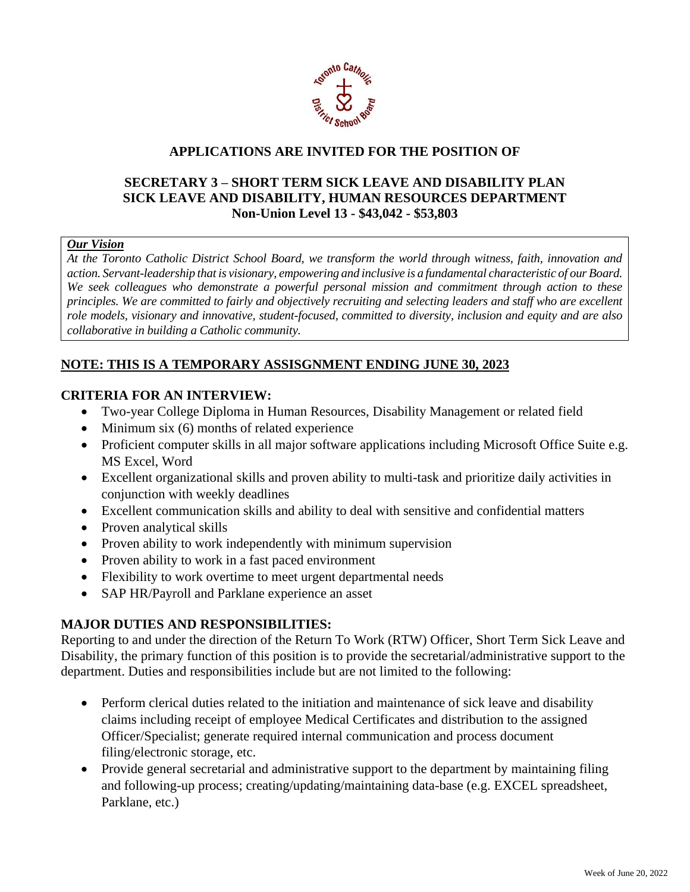

# **APPLICATIONS ARE INVITED FOR THE POSITION OF**

# **SECRETARY 3 – SHORT TERM SICK LEAVE AND DISABILITY PLAN SICK LEAVE AND DISABILITY, HUMAN RESOURCES DEPARTMENT Non-Union Level 13 - \$43,042 - \$53,803**

## *Our Vision*

*At the Toronto Catholic District School Board, we transform the world through witness, faith, innovation and action. Servant-leadership that is visionary, empowering and inclusive is a fundamental characteristic of our Board. We seek colleagues who demonstrate a powerful personal mission and commitment through action to these principles. We are committed to fairly and objectively recruiting and selecting leaders and staff who are excellent role models, visionary and innovative, student-focused, committed to diversity, inclusion and equity and are also collaborative in building a Catholic community.*

## **NOTE: THIS IS A TEMPORARY ASSISGNMENT ENDING JUNE 30, 2023**

## **CRITERIA FOR AN INTERVIEW:**

- Two-year College Diploma in Human Resources, Disability Management or related field
- Minimum six (6) months of related experience
- Proficient computer skills in all major software applications including Microsoft Office Suite e.g. MS Excel, Word
- Excellent organizational skills and proven ability to multi-task and prioritize daily activities in conjunction with weekly deadlines
- Excellent communication skills and ability to deal with sensitive and confidential matters
- Proven analytical skills
- Proven ability to work independently with minimum supervision
- Proven ability to work in a fast paced environment
- Flexibility to work overtime to meet urgent departmental needs
- SAP HR/Payroll and Parklane experience an asset

## **MAJOR DUTIES AND RESPONSIBILITIES:**

Reporting to and under the direction of the Return To Work (RTW) Officer, Short Term Sick Leave and Disability, the primary function of this position is to provide the secretarial/administrative support to the department. Duties and responsibilities include but are not limited to the following:

- Perform clerical duties related to the initiation and maintenance of sick leave and disability claims including receipt of employee Medical Certificates and distribution to the assigned Officer/Specialist; generate required internal communication and process document filing/electronic storage, etc.
- Provide general secretarial and administrative support to the department by maintaining filing and following-up process; creating/updating/maintaining data-base (e.g. EXCEL spreadsheet, Parklane, etc.)